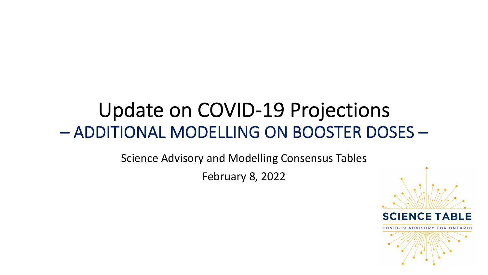# Update on COVID-19 Projections – ADDITIONAL MODELLING ON BOOSTER DOSES –

Science Advisory and Modelling Consensus Tables

February 8, 2022

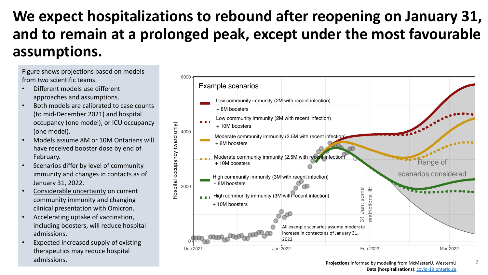## We expect hospitalizations to rebound after and to remain at a prolonged peak, except u **assumptions.**

Figure shows projections based on models from *two* scientific teams.

- Different models use different approaches and assumptions.
- Both models are calibrated to case counts (to mid-December 2021) and hospital occupancy (one model), or ICU occupancy (one model).
- Models assume 8M or 10M Ontarians will have received booster dose by end of February.
- Scenarios differ by level of community immunity and changes in contacts as of January 31, 2022.
- Considerable uncertainty on current community immunity and changing clinical presentation with Omicron.
- Accelerating uptake of vaccination, including boosters, will reduce hospital admissions.
- Expected increased supply of existing therapeutics may reduce hospital admissions.

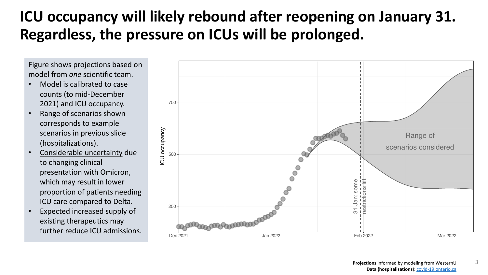### **ICU occupancy will likely rebound after reoptional** Regardless, the pressure on ICUs will be pro

Figure shows projections based on model from *one* scientific team.

- Model is calibrated to case counts (to mid-December 2021) and ICU occupancy.
- Range of scenarios shown corresponds to example scenarios in previous slide (hospitalizations).
- Considerable uncertainty due to changing clinical presentation with Omicron, which may result in lower proportion of patients needing ICU care compared to Delta.
- Expected increased supply of existing therapeutics may further reduce ICU admissions.

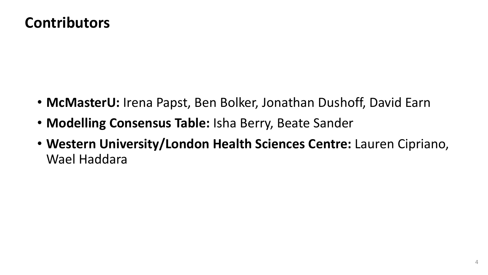#### **Contributors**

- **McMasterU:** Irena Papst, Ben Bolker, Jonathan Dushoff, David Earn
- **Modelling Consensus Table:** Isha Berry, Beate Sander
- **Western University/London Health Sciences Centre:** Lauren Cipriano, Wael Haddara